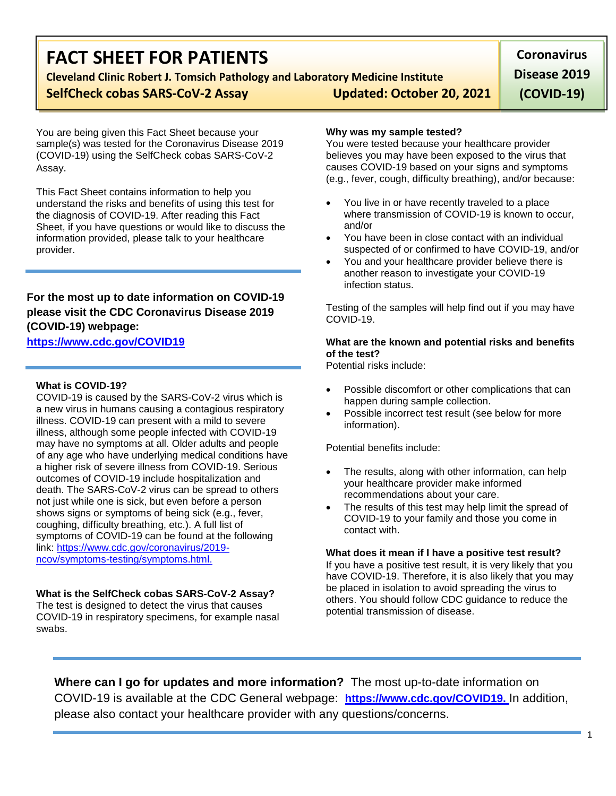# **FACT SHEET FOR PATIENTS**

**Cleveland Clinic Robert J. Tomsich Pathology and Laboratory Medicine Institute SelfCheck cobas SARS-CoV-2 Assay Updated: October 20, 2021**

**Coronavirus Disease 2019 (COVID-19)**

You are being given this Fact Sheet because your sample(s) was tested for the Coronavirus Disease 2019 (COVID-19) using the SelfCheck cobas SARS-CoV-2 Assay.

This Fact Sheet contains information to help you understand the risks and benefits of using this test for the diagnosis of COVID-19. After reading this Fact Sheet, if you have questions or would like to discuss the information provided, please talk to your healthcare provider.

# **For the most up to date information on COVID-19 please visit the CDC Coronavirus Disease 2019 (COVID-19) webpage:**

# **[https://www.cdc.gov/COVID19](https://www.cdc.gov/nCoV)**

## **What is COVID-19?**

COVID-19 is caused by the SARS-CoV-2 virus which is a new virus in humans causing a contagious respiratory illness. COVID-19 can present with a mild to severe illness, although some people infected with COVID-19 may have no symptoms at all. Older adults and people of any age who have underlying medical conditions have a higher risk of severe illness from COVID-19. Serious outcomes of COVID-19 include hospitalization and death. The SARS-CoV-2 virus can be spread to others not just while one is sick, but even before a person shows signs or symptoms of being sick (e.g., fever, coughing, difficulty breathing, etc.). A full list of symptoms of COVID-19 can be found at the following link: [https://www.cdc.gov/coronavirus/2019](https://www.cdc.gov/coronavirus/2019-ncov/symptoms-testing/symptoms.html) [ncov/symptoms-testing/symptoms.html.](https://www.cdc.gov/coronavirus/2019-ncov/symptoms-testing/symptoms.html)

# **What is the SelfCheck cobas SARS-CoV-2 Assay?**

The test is designed to detect the virus that causes COVID-19 in respiratory specimens, for example nasal swabs.

## **Why was my sample tested?**

You were tested because your healthcare provider believes you may have been exposed to the virus that causes COVID-19 based on your signs and symptoms (e.g., fever, cough, difficulty breathing), and/or because:

- You live in or have recently traveled to a place where transmission of COVID-19 is known to occur, and/or
- You have been in close contact with an individual suspected of or confirmed to have COVID-19, and/or
- You and your healthcare provider believe there is another reason to investigate your COVID-19 infection status.

Testing of the samples will help find out if you may have COVID-19.

# **What are the known and potential risks and benefits of the test?**

Potential risks include:

- Possible discomfort or other complications that can happen during sample collection.
- Possible incorrect test result (see below for more information).

Potential benefits include:

- The results, along with other information, can help your healthcare provider make informed recommendations about your care.
- The results of this test may help limit the spread of COVID-19 to your family and those you come in contact with.

#### **What does it mean if I have a positive test result?**

If you have a positive test result, it is very likely that you have COVID-19. Therefore, it is also likely that you may be placed in isolation to avoid spreading the virus to others. You should follow CDC guidance to reduce the potential transmission of disease.

**Where can I go for updates and more information?** The most up-to-date information on COVID-19 is available at the CDC General webpage: **[https://www.cdc.gov/COVID19.](https://www.cdc.gov/nCoV)** In addition, please also contact your healthcare provider with any questions/concerns.